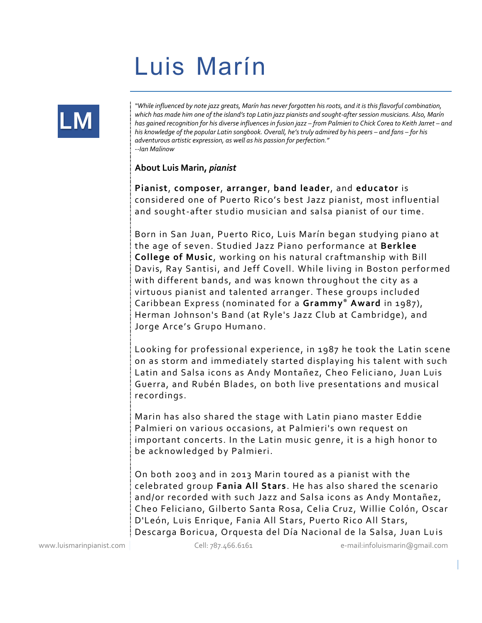## **Luis Marín**



*"While influenced by note jazz greats, Marín has never forgotten his roots, and it is this flavorful combination, which has made him one of the island's top Latin jazz pianists and sought-after session musicians. Also, Marín has gained recognition for his diverse influences in fusion jazz – from Palmieri to Chick Corea to Keith Jarret – and his knowledge of the popular Latin songbook. Overall, he's truly admired by his peers – and fans – for his adventurous artistic expression, as well as his passion for perfection." --Ian Malinow*

## **About Luis Marin,** *pianist*

**Pianist**, **composer**, **arranger**, **band leader**, and **educator** is considered one of Puerto Rico's best Jazz pianist, most influential and sought-after studio musician and salsa pianist of our time.

Born in San Juan, Puerto Rico, Luis Marín began studying piano at the age of seven. Studied Jazz Piano performance at **Berklee College of Music**, working on his natural craftmanship with Bill Davis, Ray Santisi, and Jeff Covell. While living in Boston performed with different bands, and was known throughout the city as a virtuous pianist and talented arranger. These groups included Caribbean Express (nominated for a **Grammy® Award** in 1987), Herman Johnson's Band (at Ryle's Jazz Club at Cambridge), and Jorge Arce's Grupo Humano.

Looking for professional experience, in 1987 he took the Latin scene on as storm and immediately started displaying his talent with such Latin and Salsa icons as Andy Montañez, Cheo Feliciano, Juan Luis Guerra, and Rubén Blades, on both live presentations and musical recordings.

Marin has also shared the stage with Latin piano master Eddie Palmieri on various occasions, at Palmieri's own request on important concerts. In the Latin music genre, it is a high honor to be acknowledged by Palmieri.

On both 2003 and in 2013 Marin toured as a pianist with the celebrated group **Fania All Stars**. He has also shared the scenario and/or recorded with such Jazz and Salsa icons as Andy Montañez, Cheo Feliciano, Gilberto Santa Rosa, Celia Cruz, Willie Colón, Oscar D'León, Luis Enrique, Fania All Stars, Puerto Rico All Stars, Descarga Boricua, Orquesta del Día Nacional de la Salsa, Juan Lu is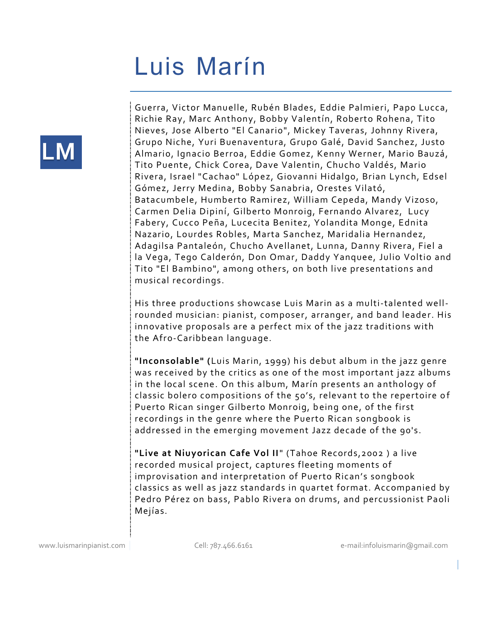## **Luis Marín**



Guerra, Victor Manuelle, Rubén Blades, Eddie Palmieri, Papo Lucca, Richie Ray, Marc Anthony, Bobby Valentín, Roberto Rohena, Tito Nieves, Jose Alberto "El Canario", Mickey Taveras, Johnny Rivera, Grupo Niche, Yuri Buenaventura, Grupo Galé, David Sanchez, Justo Almario, Ignacio Berroa, Eddie Gomez, Kenny Werner, Mario Bauzá, Tito Puente, Chick Corea, Dave Valentin, Chucho Valdés, Mario Rivera, Israel "Cachao" López, Giovanni Hidalgo, Brian Lynch, Edsel Gómez, Jerry Medina, Bobby Sanabria, Orestes Vilató, Batacumbele, Humberto Ramirez, William Cepeda, Mandy Vizoso, Carmen Delia Dipiní, Gilberto Monroig, Fernando Alvarez, Lucy Fabery, Cucco Peña, Lucecita Benitez, Yolandita Monge, Ednita Nazario, Lourdes Robles, Marta Sanchez, Maridalia Hernandez, Adagilsa Pantaleón, Chucho Avellanet, Lunna, Danny Rivera, Fiel a la Vega, Tego Calderón, Don Omar, Daddy Yanquee, Julio Voltio and Tito "El Bambino", among others, on both live presentations and musical recordings.

His three productions showcase Luis Marin as a multi-talented wellrounded musician: pianist, composer, arranger, and band leader. His innovative proposals are a perfect mix of the jazz traditions with the Afro-Caribbean language.

**"Inconsolable" (**Luis Marin, 1999) his debut album in the jazz genre was received by the critics as one of the most important jazz albums in the local scene. On this album, Marín presents an anthology of classic bolero compositions of the 50's, relevant to the repertoire o f Puerto Rican singer Gilberto Monroig, being one, of the first recordings in the genre where the Puerto Rican songbook is addressed in the emerging movement Jazz decade of the 90's.

**"Live at Niuyorican Cafe Vol II**" (Tahoe Records,2002 ) a live recorded musical project, captures fleeting moments of improvisation and interpretation of Puerto Rican's songbook classics as well as jazz standards in quartet format. Accompanied by Pedro Pérez on bass, Pablo Rivera on drums, and percussionist Paoli Mejías.